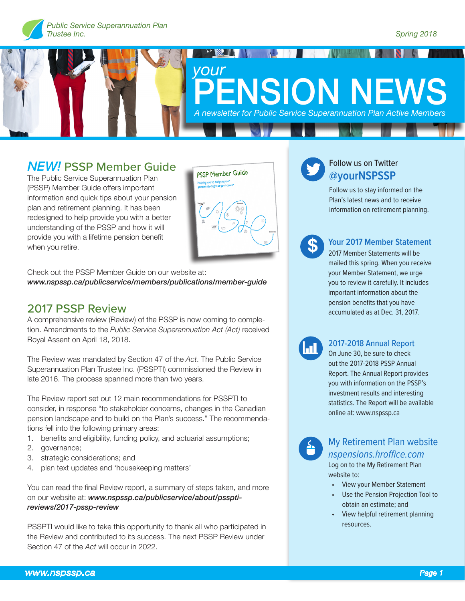



## *NEW!* PSSP Member Guide

The Public Service Superannuation Plan (PSSP) Member Guide offers important information and quick tips about your pension plan and retirement planning. It has been redesigned to help provide you with a better understanding of the PSSP and how it will provide you with a lifetime pension benefit when you retire.



Check out the PSSP Member Guide on our website at: *www.nspssp.ca/publicservice/members/publications/member-guide*

## 2017 PSSP Review

A comprehensive review (Review) of the PSSP is now coming to completion. Amendments to the *Public Service Superannuation Act (Act)* received Royal Assent on April 18, 2018.

The Review was mandated by Section 47 of the *Act*. The Public Service Superannuation Plan Trustee Inc. (PSSPTI) commissioned the Review in late 2016. The process spanned more than two years.

The Review report set out 12 main recommendations for PSSPTI to consider, in response "to stakeholder concerns, changes in the Canadian pension landscape and to build on the Plan's success." The recommendations fell into the following primary areas:

- 1. benefits and eligibility, funding policy, and actuarial assumptions;
- 2. governance;
- 3. strategic considerations; and
- 4. plan text updates and 'housekeeping matters'

You can read the final Review report, a summary of steps taken, and more on our website at: *www.nspssp.ca/publicservice/about/pssptireviews/2017-pssp-review*

PSSPTI would like to take this opportunity to thank all who participated in the Review and contributed to its success. The next PSSP Review under Section 47 of the *Act* will occur in 2022.

## Follow us on Twitter **@yourNSPSSP**

Follow us to stay informed on the Plan's latest news and to receive information on retirement planning.



### **Your 2017 Member Statement**

2017 Member Statements will be mailed this spring. When you receive your Member Statement, we urge you to review it carefully. It includes important information about the pension benefits that you have accumulated as at Dec. 31, 2017.



#### 2017-2018 Annual Report

On June 30, be sure to check out the 2017-2018 PSSP Annual Report. The Annual Report provides you with information on the PSSP's investment results and interesting statistics. The Report will be available online at: www.nspssp.ca



### My Retirement Plan website *nspensions.hroffice.com*

Log on to the My Retirement Plan website to:

- View your Member Statement
- Use the Pension Projection Tool to obtain an estimate; and
- View helpful retirement planning resources.